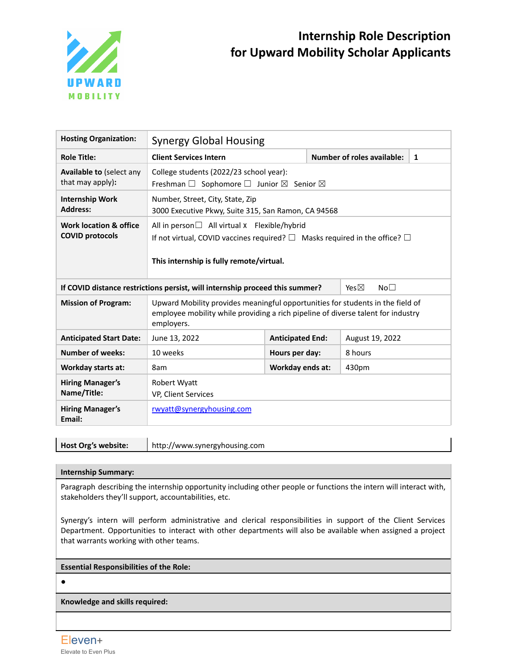

# **Internship Role Description for Upward Mobility Scholar Applicants**

| <b>Hosting Organization:</b>                                                                                       | <b>Synergy Global Housing</b>                                                                                                                                                                |                         |         |                                   |   |  |
|--------------------------------------------------------------------------------------------------------------------|----------------------------------------------------------------------------------------------------------------------------------------------------------------------------------------------|-------------------------|---------|-----------------------------------|---|--|
| <b>Role Title:</b>                                                                                                 | <b>Client Services Intern</b>                                                                                                                                                                |                         |         | <b>Number of roles available:</b> | 1 |  |
| <b>Available to (select any</b><br>that may apply):                                                                | College students (2022/23 school year):<br>Freshman $\Box$ Sophomore $\Box$ Junior $\boxtimes$ Senior $\boxtimes$                                                                            |                         |         |                                   |   |  |
| <b>Internship Work</b><br><b>Address:</b>                                                                          | Number, Street, City, State, Zip<br>3000 Executive Pkwy, Suite 315, San Ramon, CA 94568                                                                                                      |                         |         |                                   |   |  |
| Work location & office<br><b>COVID protocols</b>                                                                   | All in person $\Box$ All virtual x Flexible/hybrid<br>If not virtual, COVID vaccines required? $\square$ Masks required in the office? $\square$<br>This internship is fully remote/virtual. |                         |         |                                   |   |  |
| If COVID distance restrictions persist, will internship proceed this summer?<br>Yes $\boxtimes$<br>No <sub>1</sub> |                                                                                                                                                                                              |                         |         |                                   |   |  |
| <b>Mission of Program:</b>                                                                                         | Upward Mobility provides meaningful opportunities for students in the field of<br>employee mobility while providing a rich pipeline of diverse talent for industry<br>employers.             |                         |         |                                   |   |  |
| <b>Anticipated Start Date:</b>                                                                                     | June 13, 2022                                                                                                                                                                                | <b>Anticipated End:</b> |         | August 19, 2022                   |   |  |
| <b>Number of weeks:</b>                                                                                            | 10 weeks                                                                                                                                                                                     | Hours per day:          | 8 hours |                                   |   |  |
| <b>Workday starts at:</b>                                                                                          | 8am                                                                                                                                                                                          | Workday ends at:        | 430pm   |                                   |   |  |
| <b>Hiring Manager's</b><br>Name/Title:                                                                             | Robert Wyatt<br>VP, Client Services                                                                                                                                                          |                         |         |                                   |   |  |
| <b>Hiring Manager's</b><br>Email:                                                                                  | rwyatt@synergyhousing.com                                                                                                                                                                    |                         |         |                                   |   |  |

**Host Org's website:** http://www.synergyhousing.com

## **Internship Summary:**

Paragraph describing the internship opportunity including other people or functions the intern will interact with, stakeholders they'll support, accountabilities, etc.

Synergy's intern will perform administrative and clerical responsibilities in support of the Client Services Department. Opportunities to interact with other departments will also be available when assigned a project that warrants working with other teams.

### **Essential Responsibilities of the Role:**

 $\bullet$ 

**Knowledge and skills required:**